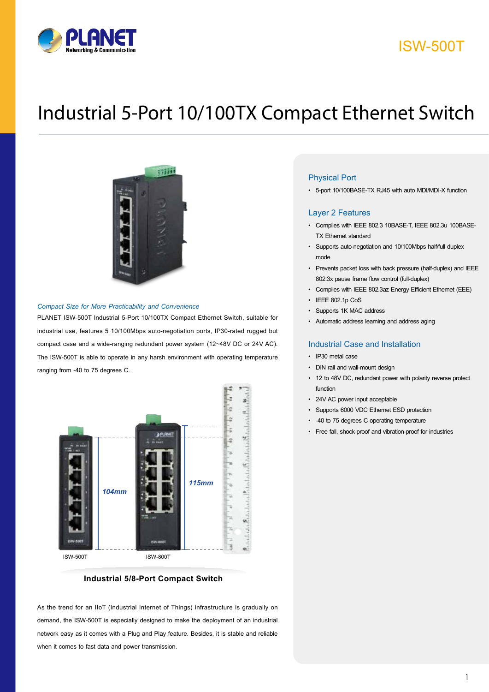

## ISW-500T

# Industrial 5-Port 10/100TX Compact Ethernet Switch



#### *Compact Size for More Practicability and Convenience*

PLANET ISW-500T Industrial 5-Port 10/100TX Compact Ethernet Switch, suitable for industrial use, features 5 10/100Mbps auto-negotiation ports, IP30-rated rugged but compact case and a wide-ranging redundant power system (12~48V DC or 24V AC). The ISW-500T is able to operate in any harsh environment with operating temperature ranging from -40 to 75 degrees C.



### **Industrial 5/8-Port Compact Switch**

As the trend for an IIoT (Industrial Internet of Things) infrastructure is gradually on demand, the ISW-500T is especially designed to make the deployment of an industrial network easy as it comes with a Plug and Play feature. Besides, it is stable and reliable when it comes to fast data and power transmission.

### Physical Port

• 5-port 10/100BASE-TX RJ45 with auto MDI/MDI-X function

### Layer 2 Features

- • Complies with IEEE 802.3 10BASE-T, IEEE 802.3u 100BASE-TX Ethernet standard
- Supports auto-negotiation and 10/100Mbps half/full duplex mode
- • Prevents packet loss with back pressure (half-duplex) and IEEE 802.3x pause frame flow control (full-duplex)
- • Complies with IEEE 802.3az Energy Efficient Ethernet (EEE)
- IEEE 802.1p CoS
- Supports 1K MAC address
- • Automatic address learning and address aging

### Industrial Case and Installation

- • IP30 metal case
- DIN rail and wall-mount design
- • 12 to 48V DC, redundant power with polarity reverse protect function
- • 24V AC power input acceptable
- • Supports 6000 VDC Ethernet ESD protection
- • -40 to 75 degrees C operating temperature
- • Free fall, shock-proof and vibration-proof for industries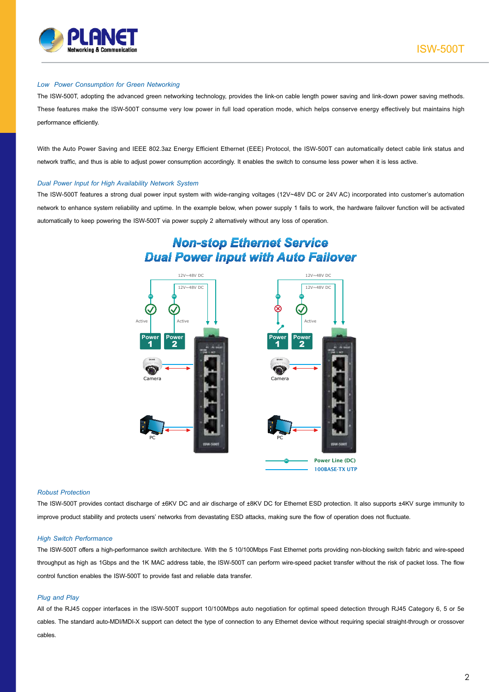

### *Low Power Consumption for Green Networking*

The ISW-500T, adopting the advanced green networking technology, provides the link-on cable length power saving and link-down power saving methods. These features make the ISW-500T consume very low power in full load operation mode, which helps conserve energy effectively but maintains high performance efficiently.

With the Auto Power Saving and IEEE 802.3az Energy Efficient Ethernet (EEE) Protocol, the ISW-500T can automatically detect cable link status and network traffic, and thus is able to adjust power consumption accordingly. It enables the switch to consume less power when it is less active.

### *Dual Power Input for High Availability Network System*

The ISW-500T features a strong dual power input system with wide-ranging voltages (12V~48V DC or 24V AC) incorporated into customer's automation network to enhance system reliability and uptime. In the example below, when power supply 1 fails to work, the hardware failover function will be activated automatically to keep powering the ISW-500T via power supply 2 alternatively without any loss of operation.

### **Non-stop Ethernet Service Dual Power Input with Auto Failover**



#### *Robust Protection*

The ISW-500T provides contact discharge of ±6KV DC and air discharge of ±8KV DC for Ethernet ESD protection. It also supports ±4KV surge immunity to improve product stability and protects users' networks from devastating ESD attacks, making sure the flow of operation does not fluctuate.

#### *High Switch Performance*

The ISW-500T offers a high-performance switch architecture. With the 5 10/100Mbps Fast Ethernet ports providing non-blocking switch fabric and wire-speed throughput as high as 1Gbps and the 1K MAC address table, the ISW-500T can perform wire-speed packet transfer without the risk of packet loss. The flow control function enables the ISW-500T to provide fast and reliable data transfer.

### *Plug and Play*

All of the RJ45 copper interfaces in the ISW-500T support 10/100Mbps auto negotiation for optimal speed detection through RJ45 Category 6, 5 or 5e cables. The standard auto-MDI/MDI-X support can detect the type of connection to any Ethernet device without requiring special straight-through or crossover cables.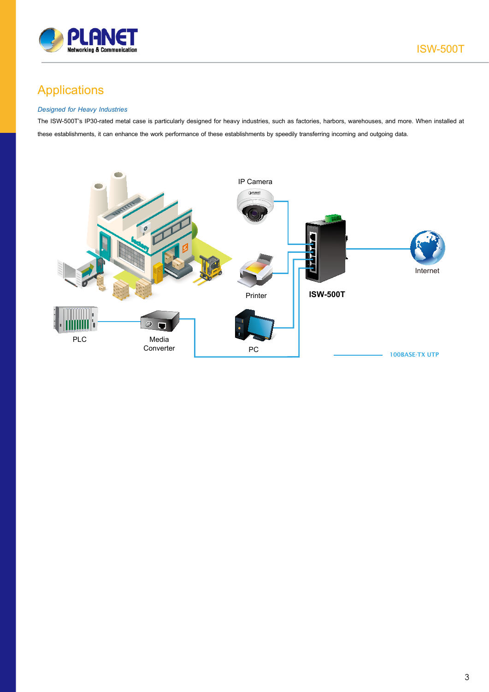

# Applications

### *Designed for Heavy Industries*

The ISW-500T's IP30-rated metal case is particularly designed for heavy industries, such as factories, harbors, warehouses, and more. When installed at these establishments, it can enhance the work performance of these establishments by speedily transferring incoming and outgoing data.

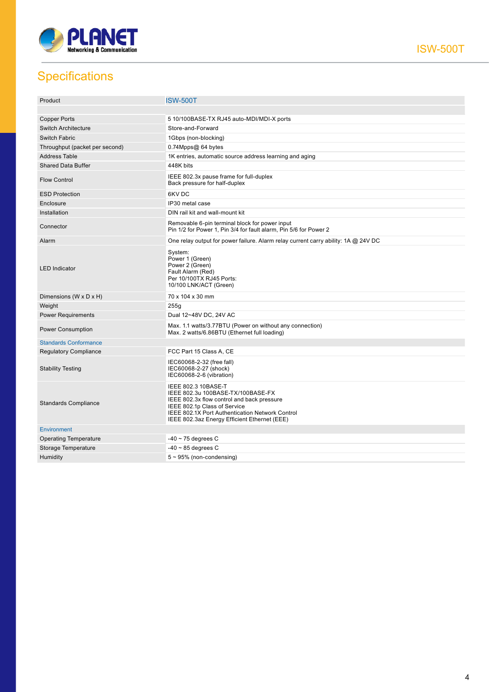

ISW-500T

# **Specifications**

| Product                        | <b>ISW-500T</b>                                                                                                                                                                                                                           |
|--------------------------------|-------------------------------------------------------------------------------------------------------------------------------------------------------------------------------------------------------------------------------------------|
|                                |                                                                                                                                                                                                                                           |
| Copper Ports                   | 5 10/100BASE-TX RJ45 auto-MDI/MDI-X ports                                                                                                                                                                                                 |
| <b>Switch Architecture</b>     | Store-and-Forward                                                                                                                                                                                                                         |
| <b>Switch Fabric</b>           | 1Gbps (non-blocking)                                                                                                                                                                                                                      |
| Throughput (packet per second) | 0.74Mpps@ 64 bytes                                                                                                                                                                                                                        |
| <b>Address Table</b>           | 1K entries, automatic source address learning and aging                                                                                                                                                                                   |
| <b>Shared Data Buffer</b>      | 448K bits                                                                                                                                                                                                                                 |
| <b>Flow Control</b>            | IEEE 802.3x pause frame for full-duplex<br>Back pressure for half-duplex                                                                                                                                                                  |
| <b>ESD Protection</b>          | 6KV DC                                                                                                                                                                                                                                    |
| Enclosure                      | IP30 metal case                                                                                                                                                                                                                           |
| Installation                   | DIN rail kit and wall-mount kit                                                                                                                                                                                                           |
| Connector                      | Removable 6-pin terminal block for power input<br>Pin 1/2 for Power 1, Pin 3/4 for fault alarm, Pin 5/6 for Power 2                                                                                                                       |
| Alarm                          | One relay output for power failure. Alarm relay current carry ability: 1A @ 24V DC                                                                                                                                                        |
| <b>LED</b> Indicator           | System:<br>Power 1 (Green)<br>Power 2 (Green)<br>Fault Alarm (Red)<br>Per 10/100TX RJ45 Ports:<br>10/100 LNK/ACT (Green)                                                                                                                  |
| Dimensions (W x D x H)         | 70 x 104 x 30 mm                                                                                                                                                                                                                          |
| Weight                         | 255g                                                                                                                                                                                                                                      |
| <b>Power Requirements</b>      | Dual 12~48V DC, 24V AC                                                                                                                                                                                                                    |
| <b>Power Consumption</b>       | Max. 1.1 watts/3.77BTU (Power on without any connection)<br>Max. 2 watts/6.86BTU (Ethernet full loading)                                                                                                                                  |
| <b>Standards Conformance</b>   |                                                                                                                                                                                                                                           |
| <b>Regulatory Compliance</b>   | FCC Part 15 Class A, CE                                                                                                                                                                                                                   |
| <b>Stability Testing</b>       | IEC60068-2-32 (free fall)<br>IEC60068-2-27 (shock)<br>IEC60068-2-6 (vibration)                                                                                                                                                            |
| <b>Standards Compliance</b>    | IEEE 802.3 10BASE-T<br>IEEE 802.3u 100BASE-TX/100BASE-FX<br>IEEE 802.3x flow control and back pressure<br>IEEE 802.1p Class of Service<br>IEEE 802.1X Port Authentication Network Control<br>IEEE 802.3az Energy Efficient Ethernet (EEE) |
| <b>Environment</b>             |                                                                                                                                                                                                                                           |
| <b>Operating Temperature</b>   | $-40 \sim 75$ degrees C                                                                                                                                                                                                                   |
| Storage Temperature            | $-40 \sim 85$ degrees C                                                                                                                                                                                                                   |
| Humidity                       | $5 \sim 95\%$ (non-condensing)                                                                                                                                                                                                            |